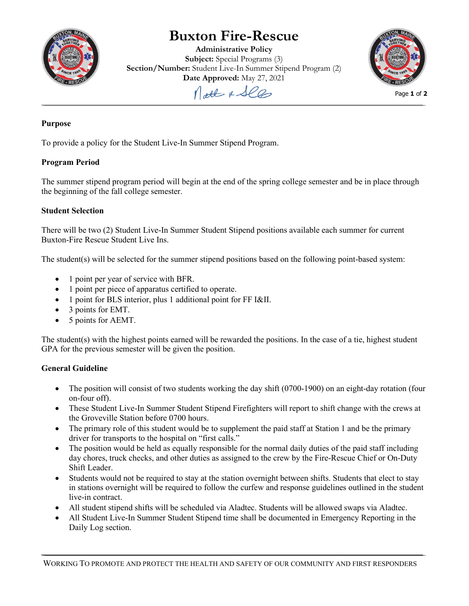

# **Buxton Fire-Rescue**

**Administrative Policy Subject:** Special Programs (3) **Section/Number:** Student Live-In Summer Stipend Program (2) **Date Approved:** May 27, 2021



Molt & See

## **Purpose**

To provide a policy for the Student Live-In Summer Stipend Program.

## **Program Period**

The summer stipend program period will begin at the end of the spring college semester and be in place through the beginning of the fall college semester.

## **Student Selection**

There will be two (2) Student Live-In Summer Student Stipend positions available each summer for current Buxton-Fire Rescue Student Live Ins.

The student(s) will be selected for the summer stipend positions based on the following point-based system:

- 1 point per year of service with BFR.
- 1 point per piece of apparatus certified to operate.
- 1 point for BLS interior, plus 1 additional point for FF I&II.
- 3 points for EMT.
- 5 points for AEMT.

The student(s) with the highest points earned will be rewarded the positions. In the case of a tie, highest student GPA for the previous semester will be given the position.

## **General Guideline**

- The position will consist of two students working the day shift (0700-1900) on an eight-day rotation (four on-four off).
- These Student Live-In Summer Student Stipend Firefighters will report to shift change with the crews at the Groveville Station before 0700 hours.
- The primary role of this student would be to supplement the paid staff at Station 1 and be the primary driver for transports to the hospital on "first calls."
- The position would be held as equally responsible for the normal daily duties of the paid staff including day chores, truck checks, and other duties as assigned to the crew by the Fire-Rescue Chief or On-Duty Shift Leader.
- Students would not be required to stay at the station overnight between shifts. Students that elect to stay in stations overnight will be required to follow the curfew and response guidelines outlined in the student live-in contract.
- All student stipend shifts will be scheduled via Aladtec. Students will be allowed swaps via Aladtec.
- All Student Live-In Summer Student Stipend time shall be documented in Emergency Reporting in the Daily Log section.